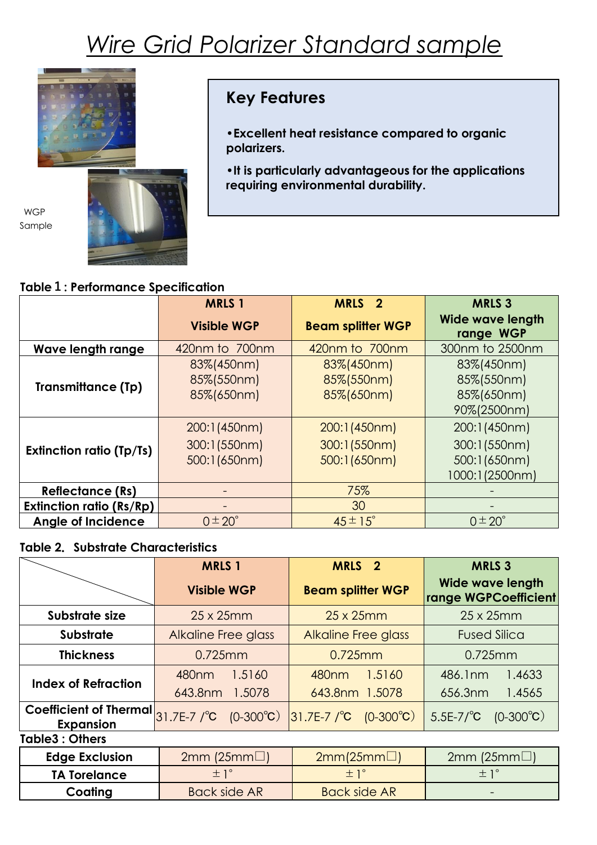# *Wire Grid Polarizer Standard sample*



## **Key Features**

**•Excellent heat resistance compared to organic polarizers.**

**•It is particularly advantageous for the applications requiring environmental durability.**

#### **Table1: Performance Specification**

|                                 | <b>MRLS 1</b>                          | MRLS <sub>2</sub>                      | <b>MRLS 3</b>                          |
|---------------------------------|----------------------------------------|----------------------------------------|----------------------------------------|
|                                 | <b>Visible WGP</b>                     | <b>Beam splitter WGP</b>               | <b>Wide wave length</b><br>range WGP   |
| Wave length range               | 420nm to 700nm                         | 420nm to 700nm                         | 300nm to 2500nm                        |
| <b>Transmittance (Tp)</b>       | 83%(450nm)<br>85%(550nm)<br>85%(650nm) | 83%(450nm)<br>85%(550nm)<br>85%(650nm) | 83%(450nm)<br>85%(550nm)<br>85%(650nm) |
|                                 |                                        |                                        | 90%(2500nm)                            |
| <b>Extinction ratio (Tp/Ts)</b> | 200:1(450nm)                           | 200:1(450nm)                           | 200:1(450nm)                           |
|                                 | 300:1(550nm)                           | 300:1(550nm)                           | 300:1(550nm)                           |
|                                 | 500:1(650nm)                           | 500:1(650nm)                           | 500:1(650nm)<br>1000:1(2500nm)         |
| <b>Reflectance (Rs)</b>         | -                                      | 75%                                    |                                        |
| <b>Extinction ratio (Rs/Rp)</b> |                                        | 30                                     |                                        |
| <b>Angle of Incidence</b>       | $0 \pm 20^{\circ}$                     | $45 \pm 15^{\circ}$                    | $0 \pm 20^{\circ}$                     |

#### **Table 2.Substrate Characteristics**

|                                                                    | <b>MRLS 1</b>               | <b>MRLS</b><br>$\overline{\mathbf{2}}$  | <b>MRLS 3</b>                                   |  |
|--------------------------------------------------------------------|-----------------------------|-----------------------------------------|-------------------------------------------------|--|
|                                                                    | <b>Visible WGP</b>          | <b>Beam splitter WGP</b>                | <b>Wide wave length</b><br>range WGPCoefficient |  |
| Substrate size                                                     | $25 \times 25$ mm           | $25 \times 25$ mm                       | $25 \times 25$ mm                               |  |
| <b>Substrate</b>                                                   | <b>Alkaline Free glass</b>  | <b>Alkaline Free glass</b>              | <b>Fused Silica</b>                             |  |
| <b>Thickness</b>                                                   | $0.725$ mm                  | $0.725$ mm                              | $0.725$ mm                                      |  |
| <b>Index of Refraction</b>                                         | 1.5160<br>480 <sub>nm</sub> | 480 <sub>nm</sub><br>1.5160             | 486.1nm<br>1.4633                               |  |
|                                                                    | 643.8nm<br>1.5078           | 643.8nm 1.5078                          | 656.3nm<br>1.4565                               |  |
| Coefficient of Thermal $31.7E-7$ /°C (0-300°C)<br><b>Expansion</b> |                             | $ 31.7E-7 ^{o}C$ (0-300 <sup>o</sup> C) | $5.5E-7$ <sup>o</sup> C<br>$(0-300^{\circ}C)$   |  |
| Table3: Others                                                     |                             |                                         |                                                 |  |
| <b>Edge Exclusion</b>                                              | $2mm$ (25mm $\Box$ )        | 2mm(25mm)                               | $2mm$ (25mm $\Box$ )                            |  |
| <b>TA Torelance</b>                                                | $\pm$ 1°                    | $\pm$ 1°                                | $\pm$ 1°                                        |  |
| Coating                                                            | <b>Back side AR</b>         | <b>Back side AR</b>                     |                                                 |  |